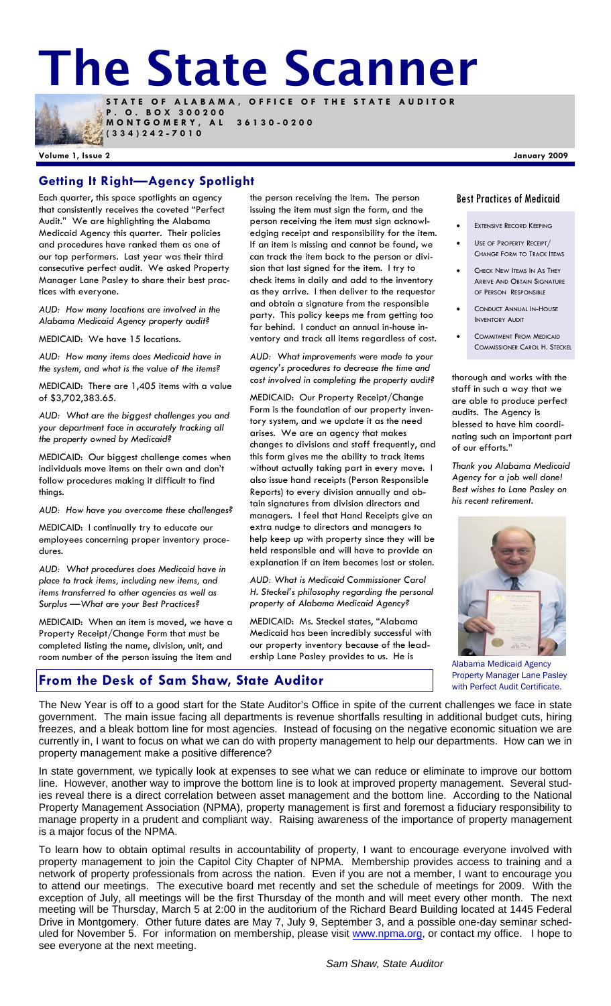**STATE OF ALABAMA, OFFICE OF THE STATE AUDITOR The State Scanner** 



**P . O . B O X 3 0 0 2 0 0 MONTGOMERY, AL 36130-0200** 

**(334)242-7010** 

#### **Volume 1, Issue 2 January 2009**

## **Getting It Right—Agency Spotlight**

Each quarter, this space spotlights an agency that consistently receives the coveted "Perfect Audit." We are highlighting the Alabama Medicaid Agency this quarter. Their policies and procedures have ranked them as one of our top performers. Last year was their third consecutive perfect audit. We asked Property Manager Lane Pasley to share their best practices with everyone.

*AUD: How many locations are involved in the Alabama Medicaid Agency property audit?* 

MEDICAID: We have 15 locations.

*AUD: How many items does Medicaid have in the system, and what is the value of the items?* 

MEDICAID: There are 1,405 items with a value of \$3,702,383.65.

*AUD: What are the biggest challenges you and your department face in accurately tracking all the property owned by Medicaid?* 

MEDICAID: Our biggest challenge comes when individuals move items on their own and don't follow procedures making it difficult to find things.

*AUD: How have you overcome these challenges?* 

MEDICAID: I continually try to educate our employees concerning proper inventory procedures.

*AUD: What procedures does Medicaid have in place to track items, including new items, and items transferred to other agencies as well as Surplus —What are your Best Practices?* 

MEDICAID: When an item is moved, we have a Property Receipt/Change Form that must be completed listing the name, division, unit, and room number of the person issuing the item and

**From the Desk of Sam Shaw, State Auditor** 

the person receiving the item. The person issuing the item must sign the form, and the person receiving the item must sign acknowledging receipt and responsibility for the item. If an item is missing and cannot be found, we can track the item back to the person or division that last signed for the item. I try to check items in daily and add to the inventory as they arrive. I then deliver to the requestor and obtain a signature from the responsible party. This policy keeps me from getting too far behind. I conduct an annual in-house inventory and track all items regardless of cost.

*AUD: What improvements were made to your agency's procedures to decrease the time and cost involved in completing the property audit?* 

MEDICAID: Our Property Receipt/Change Form is the foundation of our property inventory system, and we update it as the need arises. We are an agency that makes changes to divisions and staff frequently, and this form gives me the ability to track items without actually taking part in every move. I also issue hand receipts (Person Responsible Reports) to every division annually and obtain signatures from division directors and managers. I feel that Hand Receipts give an extra nudge to directors and managers to help keep up with property since they will be held responsible and will have to provide an explanation if an item becomes lost or stolen.

*AUD: What is Medicaid Commissioner Carol H. Steckel's philosophy regarding the personal property of Alabama Medicaid Agency?* 

MEDICAID: Ms. Steckel states, "Alabama Medicaid has been incredibly successful with our property inventory because of the leadership Lane Pasley provides to us. He is

#### Best Practices of Medicaid

- **EXTENSIVE RECORD KEEPING**
- USE OF PROPERTY RECEIPT/ CHANGE FORM TO TRACK ITEMS
- CHECK NEW ITEMS IN AS THEY ARRIVE AND OBTAIN SIGNATURE OF PERSON RESPONSIBLE
- CONDUCT ANNUAL IN-HOUSE INVENTORY AUDIT
- **COMMITMENT FROM MEDICAID** COMMISSIONER CAROL H. STECKEL

thorough and works with the staff in such a way that we are able to produce perfect audits. The Agency is blessed to have him coordinating such an important part of our efforts."

*Thank you Alabama Medicaid Agency for a job well done! Best wishes to Lane Pasley on his recent retirement.* 



Alabama Medicaid Agency Property Manager Lane Pasley with Perfect Audit Certificate.

The New Year is off to a good start for the State Auditor's Office in spite of the current challenges we face in state government. The main issue facing all departments is revenue shortfalls resulting in additional budget cuts, hiring freezes, and a bleak bottom line for most agencies. Instead of focusing on the negative economic situation we are currently in, I want to focus on what we can do with property management to help our departments. How can we in property management make a positive difference?

In state government, we typically look at expenses to see what we can reduce or eliminate to improve our bottom line. However, another way to improve the bottom line is to look at improved property management. Several studies reveal there is a direct correlation between asset management and the bottom line. According to the National Property Management Association (NPMA), property management is first and foremost a fiduciary responsibility to manage property in a prudent and compliant way. Raising awareness of the importance of property management is a major focus of the NPMA.

To learn how to obtain optimal results in accountability of property, I want to encourage everyone involved with property management to join the Capitol City Chapter of NPMA. Membership provides access to training and a network of property professionals from across the nation. Even if you are not a member, I want to encourage you to attend our meetings. The executive board met recently and set the schedule of meetings for 2009. With the exception of July, all meetings will be the first Thursday of the month and will meet every other month. The next meeting will be Thursday, March 5 at 2:00 in the auditorium of the Richard Beard Building located at 1445 Federal Drive in Montgomery. Other future dates are May 7, July 9, September 3, and a possible one-day seminar scheduled for November 5. For information on membership, please visit www.npma.org, or contact my office. I hope to see everyone at the next meeting.